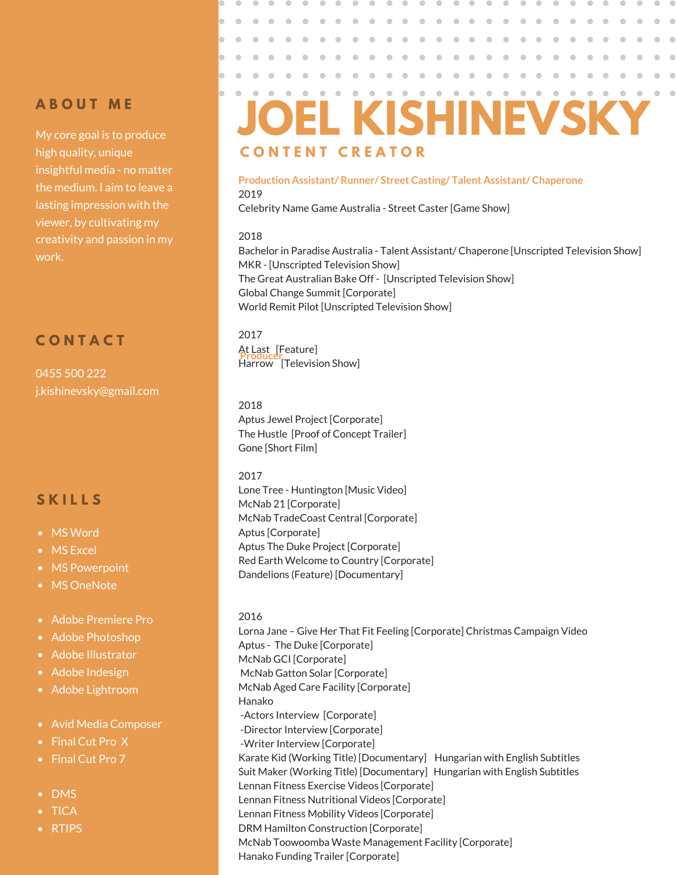# **A B O U T M E**

My core goal is to produce high quality, unique insightful media - no matter the medium. I aim to leave a lasting impression with the viewer, by cultivating my creativity and passion in my work.

# **C O N T A C T**

0455 500 222 j.kishinevsky@gmail.com

# **S K I L L S**

- MS Word
- MS Excel
- MS Powerpoint
- MS OneNote
- Adobe Premiere Pro
- Adobe Photoshop
- Adobe Illustrator
- **Adobe Indesign**
- Adobe Lightroom
- Avid Media Composer
- Final Cut Pro X
- Final Cut Pro 7
- DMS
- TICA
- RTIPS

#### $\bullet$  $\bullet$  $\qquad \qquad \blacksquare$  $\bullet$  $\bullet$  $\blacksquare$  $\blacksquare$ **JOEL KISHINEVSKY C O N T E N T C R E A T O R**

 $\bullet$ 

 $\bullet$  $\qquad \qquad \bullet$   $\bullet$ 

 $\bullet$ 

 $\bullet$ 

 $\bullet$ 

### 2019 **Production Assistant/ Runner/ Street Casting/ Talent Assistant/ Chaperone**

Celebrity Name Game Australia - Street Caster [Game Show]

### 2018

Bachelor in Paradise Australia - Talent Assistant/ Chaperone [Unscripted Television Show] MKR - [Unscripted Television Show] The Great Australian Bake Off - [Unscripted Television Show] Global Change Summit [Corporate] World Remit Pilot [Unscripted Television Show]

### 2017 At Last [Feature] Harrow [Television Show] **Producer**

2018 Aptus Jewel Project [Corporate] The Hustle [Proof of Concept Trailer] Gone [Short Film]

### 2017

Lone Tree - Huntington [Music Video] McNab 21 [Corporate] McNab TradeCoast Central [Corporate] Aptus [Corporate] Aptus The Duke Project [Corporate] Red Earth Welcome to Country [Corporate] Dandelions (Feature) [Documentary]

2016 Lorna Jane – Give Her That Fit Feeling [Corporate] Christmas Campaign Video Aptus - The Duke [Corporate] McNab GCI [Corporate] McNab Gatton Solar [Corporate] McNab Aged Care Facility [Corporate] Hanako -Actors Interview [Corporate] -Director Interview [Corporate] -Writer Interview [Corporate] Karate Kid (Working Title) [Documentary] Hungarian with English Subtitles Suit Maker (Working Title) [Documentary] Hungarian with English Subtitles Lennan Fitness Exercise Videos [Corporate] Lennan Fitness Nutritional Videos [Corporate] Lennan Fitness Mobility Videos [Corporate] DRM Hamilton Construction [Corporate] McNab Toowoomba Waste Management Facility [Corporate] Hanako Funding Trailer [Corporate]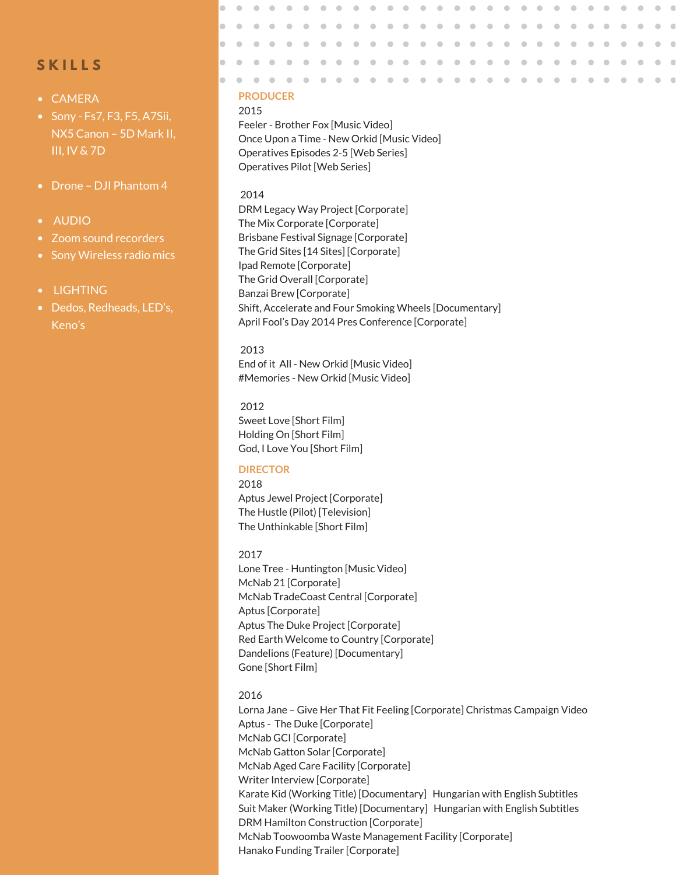# **S K I L L S**

- CAMERA
- Sony Fs7, F3, F5, A7Sii, NX5 Canon – 5D Mark II, III, IV & 7D
- Drone DJI Phantom 4
- AUDIO
- Zoom sound recorders
- Sony Wireless radio mics
- LIGHTING
- Dedos, Redheads, LED's, Keno's

### $\blacksquare$ **PRODUCER**

 $\bullet$ 

2015

 $\qquad \qquad \blacksquare$ 

Feeler - Brother Fox [Music Video] Once Upon a Time - New Orkid [Music Video] Operatives Episodes 2-5 [Web Series] Operatives Pilot [Web Series]

#### 2014

DRM Legacy Way Project [Corporate] The Mix Corporate [Corporate] Brisbane Festival Signage [Corporate] The Grid Sites [14 Sites] [Corporate] Ipad Remote [Corporate] The Grid Overall [Corporate] Banzai Brew [Corporate] Shift, Accelerate and Four Smoking Wheels [Documentary] April Fool's Day 2014 Pres Conference [Corporate]

 $\bullet$  $\bullet$ 

 $\qquad \qquad \blacksquare$  $\qquad \qquad \blacksquare$   $\bullet$  $\qquad \qquad \blacksquare$  $\bigcirc$  $\bigcirc$  $\qquad \qquad \Box$  $\bigcirc$  $\sqrt{2}$ 

 $\bigcirc$ 

 $\begin{array}{c} \begin{array}{c} \begin{array}{c} \begin{array}{c} \end{array} \end{array} \end{array} \end{array}$  $\begin{array}{c} \begin{array}{c} \begin{array}{c} \begin{array}{c} \end{array} \end{array} \end{array} \end{array}$  $\qquad \qquad \Box$  $\begin{array}{c} \begin{array}{c} \begin{array}{c} \begin{array}{c} \end{array} \end{array} \end{array} \end{array}$  $\begin{array}{c} \begin{array}{c} \begin{array}{c} \begin{array}{c} \end{array} \end{array} \end{array} \end{array}$  $\begin{array}{c} \bullet \\ \bullet \end{array}$  $\qquad \qquad \Box$  $\bullet$  $\begin{array}{c} \bullet \\ \bullet \end{array}$ 

 $\triangle$ 

#### 2013

End of it All - New Orkid [Music Video] #Memories - New Orkid [Music Video]

2012 Sweet Love [Short Film] Holding On [Short Film] God, I Love You [Short Film]

#### **DIRECTOR**

2018 Aptus Jewel Project [Corporate] The Hustle (Pilot) [Television] The Unthinkable [Short Film]

#### 2017

Lone Tree - Huntington [Music Video] McNab 21 [Corporate] McNab TradeCoast Central [Corporate] Aptus [Corporate] Aptus The Duke Project [Corporate] Red Earth Welcome to Country [Corporate] Dandelions (Feature) [Documentary] Gone [Short Film]

#### 2016

Lorna Jane – Give Her That Fit Feeling [Corporate] Christmas Campaign Video Aptus - The Duke [Corporate] McNab GCI [Corporate] McNab Gatton Solar [Corporate] McNab Aged Care Facility [Corporate] Writer Interview [Corporate] Karate Kid (Working Title) [Documentary] Hungarian with English Subtitles Suit Maker (Working Title) [Documentary] Hungarian with English Subtitles DRM Hamilton Construction [Corporate] McNab Toowoomba Waste Management Facility [Corporate] Hanako Funding Trailer [Corporate]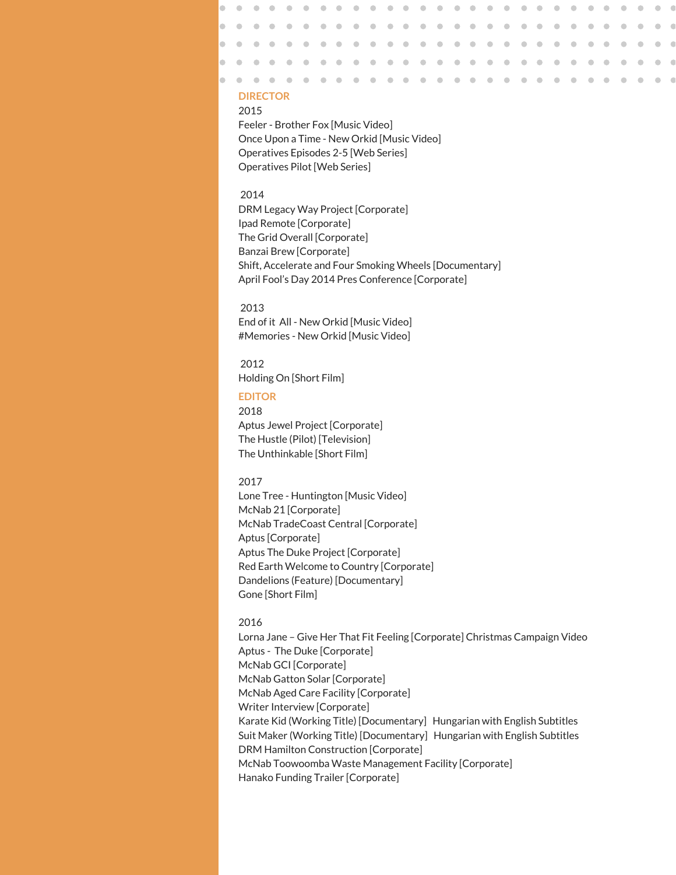### $\blacksquare$ **DIRECTOR**

 $\bullet$ 

 $\qquad \qquad \blacksquare$ 

2015

Feeler - Brother Fox [Music Video] Once Upon a Time - New Orkid [Music Video] Operatives Episodes 2-5 [Web Series] Operatives Pilot [Web Series]

 $\bullet$  $\triangle$  $\bigcirc$  $\qquad \qquad \bullet$ 

 $\triangle$  $\bullet$  $\qquad \qquad \bullet$ 

#### 2014

DRM Legacy Way Project [Corporate] Ipad Remote [Corporate] The Grid Overall [Corporate] Banzai Brew [Corporate] Shift, Accelerate and Four Smoking Wheels [Documentary] April Fool's Day 2014 Pres Conference [Corporate]

 $\bullet$  $\bullet$  $\bullet$  $\bullet$ 

 $\qquad \qquad \blacksquare$ 

 $\begin{array}{c} \begin{array}{c} \begin{array}{c} \begin{array}{c} \end{array} \end{array} \end{array} \end{array}$  $\qquad \qquad \Box$  $\qquad \qquad \blacksquare$ 

 $\bullet$  $\qquad \qquad \bullet$  $\bigcirc$  $\bigcirc$  $\bullet$  $\bigcirc$  $\qquad \qquad \Box$  $\triangle$ 

> $\qquad \qquad \blacksquare$  $\qquad \qquad \Box$

 $\bullet$  $\bullet$ 

 $\begin{array}{c} \begin{array}{c} \begin{array}{c} \begin{array}{c} \end{array} \end{array} \end{array} \end{array}$  $\bullet$  $\begin{array}{c} \bullet \\ \bullet \end{array}$   $\bullet$  $\triangle$ 

#### 2013

End of it All - New Orkid [Music Video] #Memories - New Orkid [Music Video]

#### 2012

Holding On [Short Film]

#### **EDITOR**

2018 Aptus Jewel Project [Corporate] The Hustle (Pilot) [Television] The Unthinkable [Short Film]

#### 2017

Lone Tree - Huntington [Music Video] McNab 21 [Corporate] McNab TradeCoast Central [Corporate] Aptus [Corporate] Aptus The Duke Project [Corporate] Red Earth Welcome to Country [Corporate] Dandelions (Feature) [Documentary] Gone [Short Film]

#### 2016

Lorna Jane – Give Her That Fit Feeling [Corporate] Christmas Campaign Video Aptus - The Duke [Corporate] McNab GCI [Corporate] McNab Gatton Solar [Corporate] McNab Aged Care Facility [Corporate] Writer Interview [Corporate] Karate Kid (Working Title) [Documentary] Hungarian with English Subtitles Suit Maker (Working Title) [Documentary] Hungarian with English Subtitles DRM Hamilton Construction [Corporate] McNab Toowoomba Waste Management Facility [Corporate] Hanako Funding Trailer [Corporate]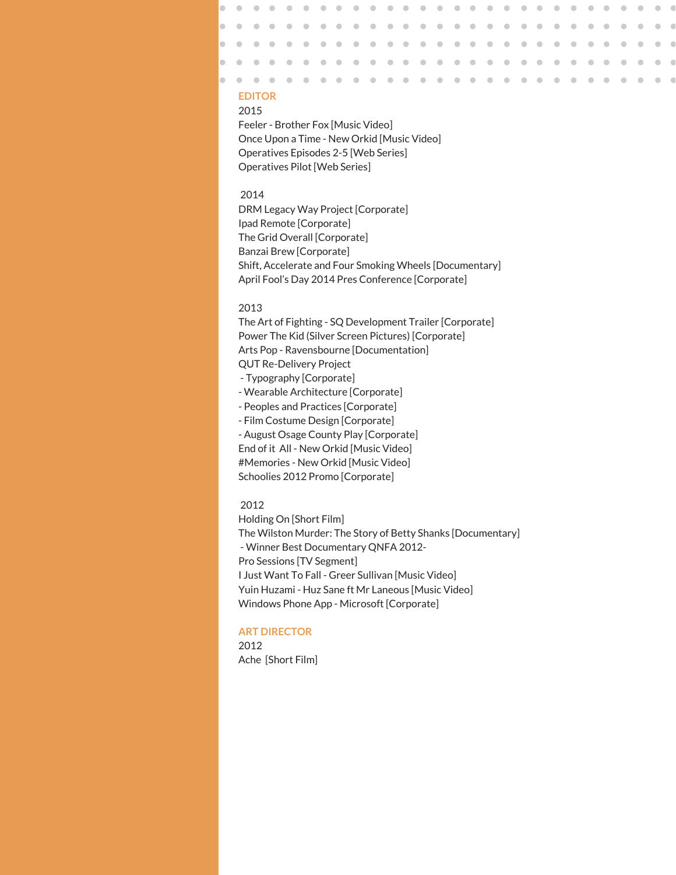### **EDITOR**

#### 2015

Feeler - Brother Fox [Music Video] Once Upon a Time - New Orkid [Music Video] Operatives Episodes 2-5 [Web Series] Operatives Pilot [Web Series]

 $\bullet$  $\triangle$  $\bigcirc$  $\qquad \qquad \Box$  $\bigcirc$  $\triangle$  $\bullet$ ۰  $\sqrt{2}$  $\triangle$  $\triangle$ 

 $\triangle$  $\triangle$  $\triangle$  $\qquad \qquad \blacksquare$  $\qquad \qquad \blacksquare$  $\triangle$  $\triangle$  $\qquad \qquad \blacksquare$  $\qquad \qquad \Box$  $\bullet$  $\qquad \qquad \blacksquare$ 

#### 2014

DRM Legacy Way Project [Corporate] Ipad Remote [Corporate] The Grid Overall [Corporate] Banzai Brew [Corporate] Shift, Accelerate and Four Smoking Wheels [Documentary] April Fool's Day 2014 Pres Conference [Corporate]

 $\bullet$ 

#### 2013

The Art of Fighting - SQ Development Trailer [Corporate] Power The Kid (Silver Screen Pictures) [Corporate] Arts Pop - Ravensbourne [Documentation] QUT Re-Delivery Project - Typography [Corporate] - Wearable Architecture [Corporate] - Peoples and Practices [Corporate] - Film Costume Design [Corporate]

- August Osage County Play [Corporate]

End of it All - New Orkid [Music Video]

#Memories - New Orkid [Music Video]

Schoolies 2012 Promo [Corporate]

### 2012

Holding On [Short Film] The Wilston Murder: The Story of Betty Shanks [Documentary] - Winner Best Documentary QNFA 2012- Pro Sessions [TV Segment] I Just Want To Fall - Greer Sullivan [Music Video] Yuin Huzami - Huz Sane ft Mr Laneous [Music Video] Windows Phone App - Microsoft [Corporate]

#### **ART DIRECTOR**

2012 Ache [Short Film]